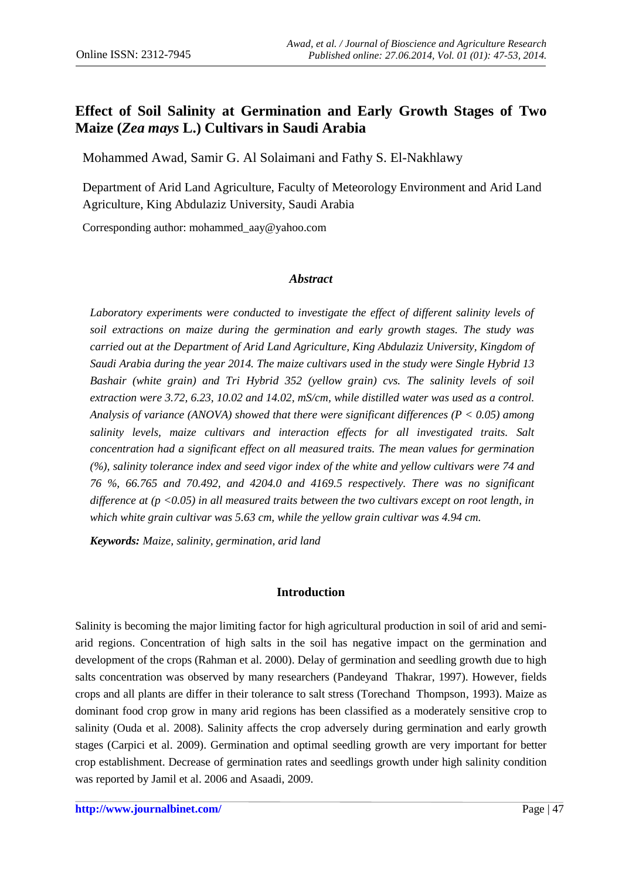# **Effect of Soil Salinity at Germination and Early Growth Stages of Two Maize (***Zea mays* **L.) Cultivars in Saudi Arabia**

Mohammed Awad, Samir G. Al Solaimani and Fathy S. El-Nakhlawy

Department of Arid Land Agriculture, Faculty of Meteorology Environment and Arid Land Agriculture, King Abdulaziz University, Saudi Arabia

Corresponding author: [mohammed\\_aay@yahoo.com](mailto:mohammed_aay@yahoo.com)

#### *Abstract*

Laboratory experiments were conducted to investigate the effect of different salinity levels of *soil extractions on maize during the germination and early growth stages. The study was carried out at the Department of Arid Land Agriculture, King Abdulaziz University, Kingdom of Saudi Arabia during the year 2014. The maize cultivars used in the study were Single Hybrid 13 Bashair (white grain) and Tri Hybrid 352 (yellow grain) cvs. The salinity levels of soil extraction were 3.72, 6.23, 10.02 and 14.02, mS/cm, while distilled water was used as a control. Analysis of variance (ANOVA) showed that there were significant differences (P < 0.05) among salinity levels, maize cultivars and interaction effects for all investigated traits. Salt concentration had a significant effect on all measured traits. The mean values for germination (%), salinity tolerance index and seed vigor index of the white and yellow cultivars were 74 and 76 %, 66.765 and 70.492, and 4204.0 and 4169.5 respectively. There was no significant difference at (p <0.05) in all measured traits between the two cultivars except on root length, in which white grain cultivar was 5.63 cm, while the yellow grain cultivar was 4.94 cm.* 

*Keywords: Maize, salinity, germination, arid land*

### **Introduction**

Salinity is becoming the major limiting factor for high agricultural production in soil of arid and semiarid regions. Concentration of high salts in the soil has negative impact on the germination and development of the crops (Rahman et al. 2000). Delay of germination and seedling growth due to high salts concentration was observed by many researchers (Pandeyand Thakrar, 1997). However, fields crops and all plants are differ in their tolerance to salt stress (Torechand Thompson, 1993). Maize as dominant food crop grow in many arid regions has been classified as a moderately sensitive crop to salinity (Ouda et al. 2008). Salinity affects the crop adversely during germination and early growth stages (Carpici et al. 2009). Germination and optimal seedling growth are very important for better crop establishment. Decrease of germination rates and seedlings growth under high salinity condition was reported by Jamil et al. 2006 and Asaadi, 2009.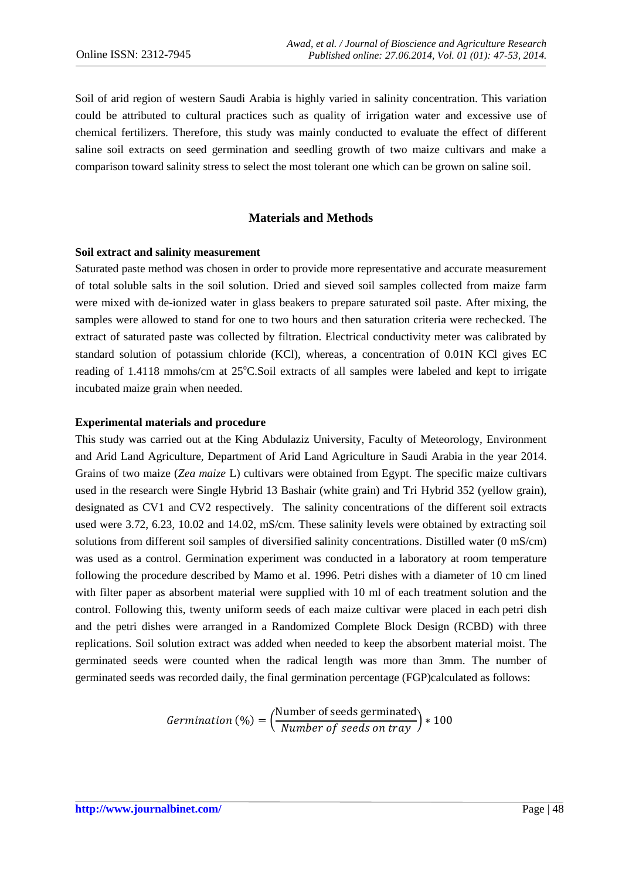Soil of arid region of western Saudi Arabia is highly varied in salinity concentration. This variation could be attributed to cultural practices such as quality of irrigation water and excessive use of chemical fertilizers. Therefore, this study was mainly conducted to evaluate the effect of different saline soil extracts on seed germination and seedling growth of two maize cultivars and make a comparison toward salinity stress to select the most tolerant one which can be grown on saline soil.

### **Materials and Methods**

#### **Soil extract and salinity measurement**

Saturated paste method was chosen in order to provide more representative and accurate measurement of total soluble salts in the soil solution. Dried and sieved soil samples collected from maize farm were mixed with de-ionized water in glass beakers to prepare saturated soil paste. After mixing, the samples were allowed to stand for one to two hours and then saturation criteria were rechecked. The extract of saturated paste was collected by filtration. Electrical conductivity meter was calibrated by standard solution of potassium chloride (KCl), whereas, a concentration of 0.01N KCl gives EC reading of 1.4118 mmohs/cm at 25°C.Soil extracts of all samples were labeled and kept to irrigate incubated maize grain when needed.

#### **Experimental materials and procedure**

This study was carried out at the King Abdulaziz University, Faculty of Meteorology, Environment and Arid Land Agriculture, Department of Arid Land Agriculture in Saudi Arabia in the year 2014. Grains of two maize (*Zea maize* L) cultivars were obtained from Egypt. The specific maize cultivars used in the research were Single Hybrid 13 Bashair (white grain) and Tri Hybrid 352 (yellow grain), designated as CV1 and CV2 respectively. The salinity concentrations of the different soil extracts used were 3.72, 6.23, 10.02 and 14.02, mS/cm. These salinity levels were obtained by extracting soil solutions from different soil samples of diversified salinity concentrations. Distilled water (0 mS/cm) was used as a control. Germination experiment was conducted in a laboratory at room temperature following the procedure described by Mamo et al. 1996. Petri dishes with a diameter of 10 cm lined with filter paper as absorbent material were supplied with 10 ml of each treatment solution and the control. Following this, twenty uniform seeds of each maize cultivar were placed in each petri dish and the petri dishes were arranged in a Randomized Complete Block Design (RCBD) with three replications. Soil solution extract was added when needed to keep the absorbent material moist. The germinated seeds were counted when the radical length was more than 3mm. The number of germinated seeds was recorded daily, the final germination percentage (FGP)calculated as follows:

*Germanation* (%) = 
$$
\left(\frac{\text{Number of seeds germinated}}{\text{Number of seeds on tray}}\right) * 100
$$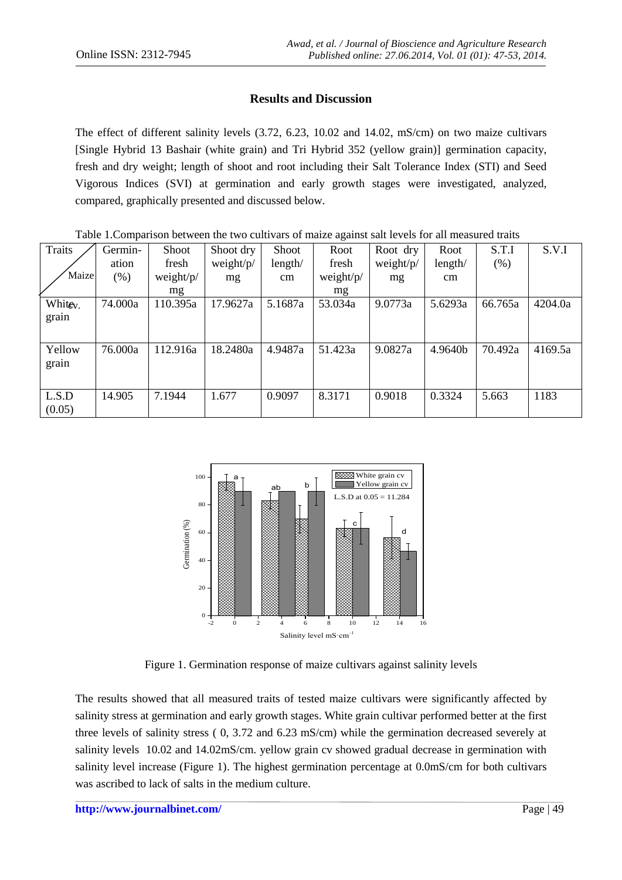## **Results and Discussion**

The effect of different salinity levels (3.72, 6.23, 10.02 and 14.02, mS/cm) on two maize cultivars [Single Hybrid 13 Bashair (white grain) and Tri Hybrid 352 (yellow grain)] germination capacity, fresh and dry weight; length of shoot and root including their Salt Tolerance Index (STI) and Seed Vigorous Indices (SVI) at germination and early growth stages were investigated, analyzed, compared, graphically presented and discussed below.

| Traits               | Germin- | <b>Shoot</b>  | Shoot dry | Shoot    | ັ<br>Root | Root dry  | Root    | S.T.I   | S.V.I   |
|----------------------|---------|---------------|-----------|----------|-----------|-----------|---------|---------|---------|
|                      | ation   | fresh         | weight/p/ | length/  | fresh     | weight/p/ | length/ | (% )    |         |
| Maize                | $(\%)$  | weight/ $p$ / | mg        | $\rm cm$ | weight/p/ | mg        | cm      |         |         |
|                      |         | mg            |           |          | mg        |           |         |         |         |
| White <sub>v</sub> . | 74.000a | 110.395a      | 17.9627a  | 5.1687a  | 53.034a   | 9.0773a   | 5.6293a | 66.765a | 4204.0a |
| grain                |         |               |           |          |           |           |         |         |         |
|                      |         |               |           |          |           |           |         |         |         |
| Yellow               | 76.000a | 112.916a      | 18.2480a  | 4.9487a  | 51.423a   | 9.0827a   | 4.9640b | 70.492a | 4169.5a |
| grain                |         |               |           |          |           |           |         |         |         |
|                      |         |               |           |          |           |           |         |         |         |
| L.S.D                | 14.905  | 7.1944        | 1.677     | 0.9097   | 8.3171    | 0.9018    | 0.3324  | 5.663   | 1183    |
| (0.05)               |         |               |           |          |           |           |         |         |         |
|                      |         |               |           |          |           |           |         |         |         |

Table 1.Comparison between the two cultivars of maize against salt levels for all measured traits



Figure 1. Germination response of maize cultivars against salinity levels

The results showed that all measured traits of tested maize cultivars were significantly affected by salinity stress at germination and early growth stages. White grain cultivar performed better at the first three levels of salinity stress ( 0, 3.72 and 6.23 mS/cm) while the germination decreased severely at salinity levels 10.02 and 14.02mS/cm. yellow grain cv showed gradual decrease in germination with salinity level increase (Figure 1). The highest germination percentage at 0.0mS/cm for both cultivars was ascribed to lack of salts in the medium culture.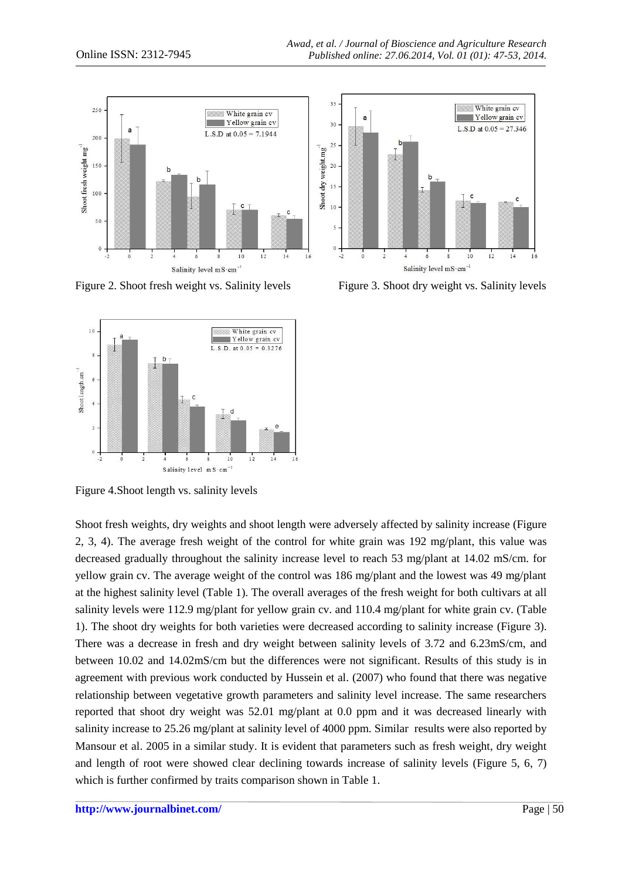

Figure 2. Shoot fresh weight vs. Salinity levels Figure 3. Shoot dry weight vs. Salinity levels



Figure 4.Shoot length vs. salinity levels

Shoot fresh weights, dry weights and shoot length were adversely affected by salinity increase (Figure 2, 3, 4). The average fresh weight of the control for white grain was 192 mg/plant, this value was decreased gradually throughout the salinity increase level to reach 53 mg/plant at 14.02 mS/cm. for yellow grain cv. The average weight of the control was 186 mg/plant and the lowest was 49 mg/plant at the highest salinity level (Table 1). The overall averages of the fresh weight for both cultivars at all salinity levels were 112.9 mg/plant for yellow grain cv. and 110.4 mg/plant for white grain cv. (Table 1). The shoot dry weights for both varieties were decreased according to salinity increase (Figure 3). There was a decrease in fresh and dry weight between salinity levels of 3.72 and 6.23mS/cm, and between 10.02 and 14.02mS/cm but the differences were not significant. Results of this study is in agreement with previous work conducted by Hussein et al. (2007) who found that there was negative relationship between vegetative growth parameters and salinity level increase. The same researchers reported that shoot dry weight was 52.01 mg/plant at 0.0 ppm and it was decreased linearly with salinity increase to 25.26 mg/plant at salinity level of 4000 ppm. Similar results were also reported by Mansour et al. 2005 in a similar study. It is evident that parameters such as fresh weight, dry weight and length of root were showed clear declining towards increase of salinity levels (Figure 5, 6, 7) which is further confirmed by traits comparison shown in Table 1.

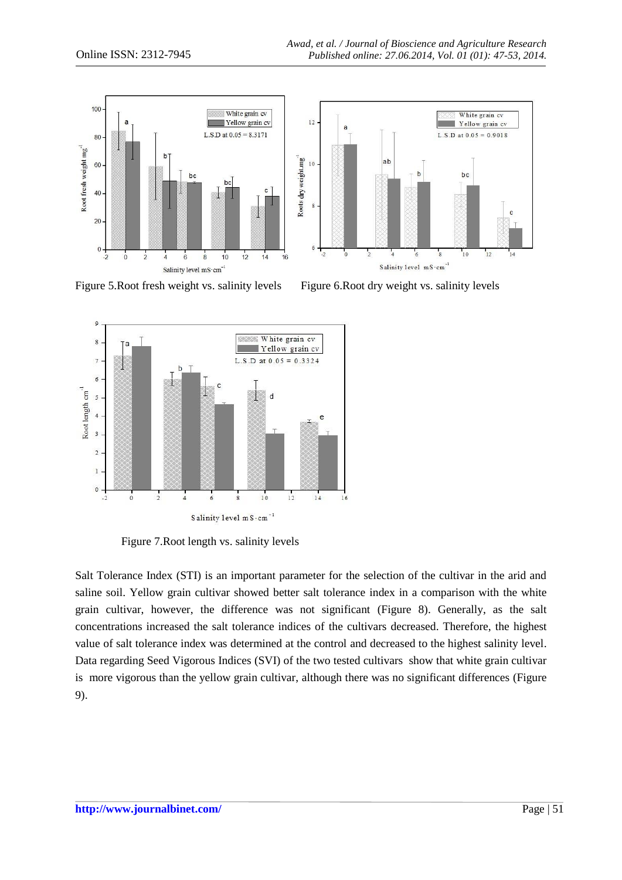

Figure 5.Root fresh weight vs. salinity levels Figure 6.Root dry weight vs. salinity levels



Figure 7.Root length vs. salinity levels

Salt Tolerance Index (STI) is an important parameter for the selection of the cultivar in the arid and saline soil. Yellow grain cultivar showed better salt tolerance index in a comparison with the white grain cultivar, however, the difference was not significant (Figure 8). Generally, as the salt concentrations increased the salt tolerance indices of the cultivars decreased. Therefore, the highest value of salt tolerance index was determined at the control and decreased to the highest salinity level. Data regarding Seed Vigorous Indices (SVI) of the two tested cultivars show that white grain cultivar is more vigorous than the yellow grain cultivar, although there was no significant differences (Figure 9).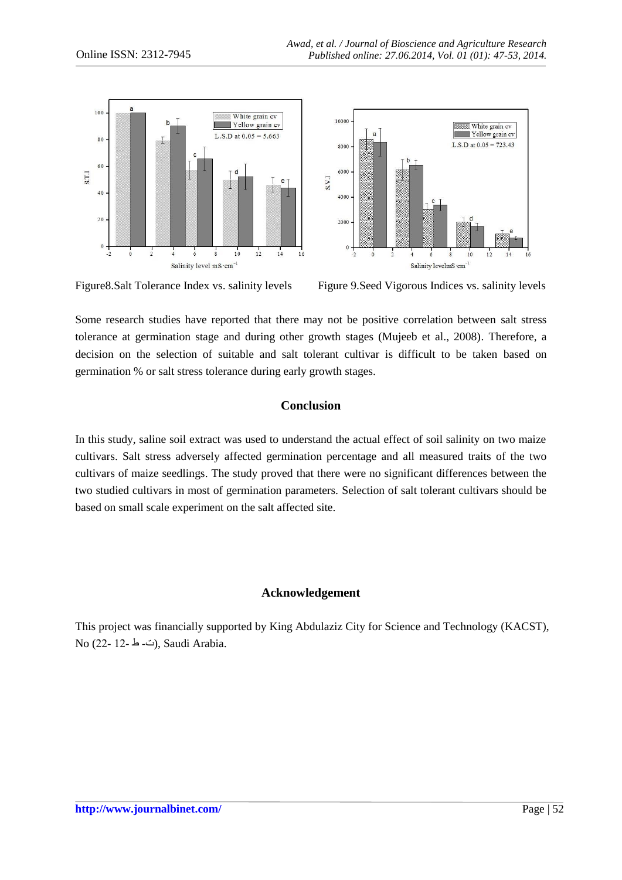

Figure8.Salt Tolerance Index vs. salinity levels Figure 9.Seed Vigorous Indices vs. salinity levels

Some research studies have reported that there may not be positive correlation between salt stress tolerance at germination stage and during other growth stages (Mujeeb et al., 2008). Therefore, a decision on the selection of suitable and salt tolerant cultivar is difficult to be taken based on germination % or salt stress tolerance during early growth stages.

## **Conclusion**

In this study, saline soil extract was used to understand the actual effect of soil salinity on two maize cultivars. Salt stress adversely affected germination percentage and all measured traits of the two cultivars of maize seedlings. The study proved that there were no significant differences between the two studied cultivars in most of germination parameters. Selection of salt tolerant cultivars should be based on small scale experiment on the salt affected site.

## **Acknowledgement**

This project was financially supported by King Abdulaziz City for Science and Technology (KACST), No (22- 12- ط), Saudi Arabia.